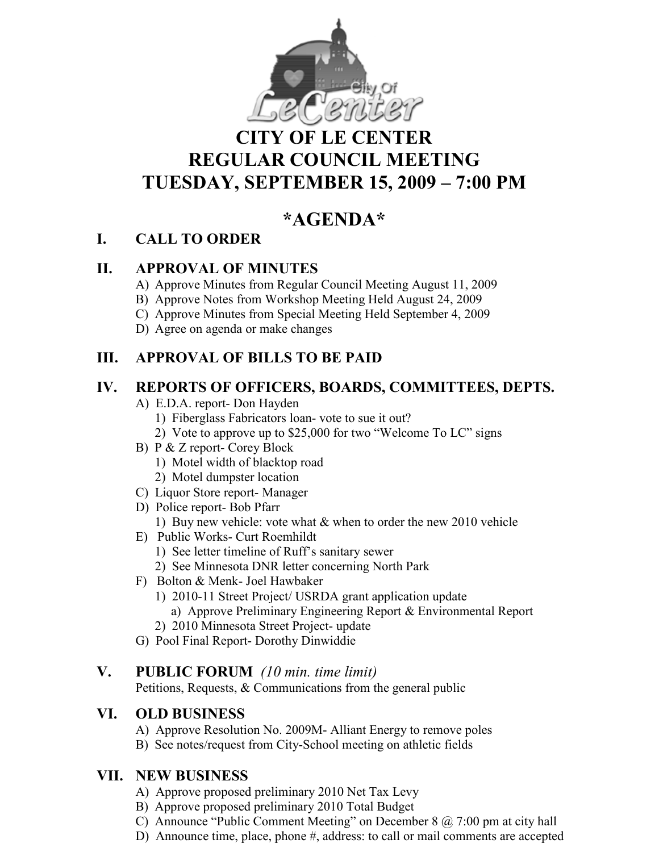

# **CITY OF LE CENTER REGULAR COUNCIL MEETING TUESDAY, SEPTEMBER 15, 2009 – 7:00 PM**

# **\*AGE DA\***

## **I. CALL TO ORDER**

## **II. APPROVAL OF MINUTES**

- A) Approve Minutes from Regular Council Meeting August 11, 2009
- B) Approve Notes from Workshop Meeting Held August 24, 2009
- C) Approve Minutes from Special Meeting Held September 4, 2009
- D) Agree on agenda or make changes

## **III. APPROVAL OF BILLS TO BE PAID**

## **IV. REPORTS OF OFFICERS, BOARDS, COMMITTEES, DEPTS.**

- A) E.D.A. report- Don Hayden
	- 1) Fiberglass Fabricators loan- vote to sue it out?
	- 2) Vote to approve up to \$25,000 for two "Welcome To LC" signs
- B) P & Z report- Corey Block
	- 1) Motel width of blacktop road
	- 2) Motel dumpster location
- C) Liquor Store report- Manager
- D) Police report- Bob Pfarr
	- 1) Buy new vehicle: vote what & when to order the new 2010 vehicle
- E) Public Works- Curt Roemhildt
	- 1) See letter timeline of Ruff's sanitary sewer
	- 2) See Minnesota DNR letter concerning North Park
- F) Bolton & Menk- Joel Hawbaker
	- 1) 2010-11 Street Project/ USRDA grant application update
		- a) Approve Preliminary Engineering Report & Environmental Report
	- 2) 2010 Minnesota Street Project- update
- G) Pool Final Report- Dorothy Dinwiddie

### **V. PUBLIC FORUM** *(10 min. time limit)*

Petitions, Requests, & Communications from the general public

### **VI. OLD BUSI ESS**

- A) Approve Resolution No. 2009M- Alliant Energy to remove poles
- B) See notes/request from City-School meeting on athletic fields

## **VII. EW BUSI ESS**

- A) Approve proposed preliminary 2010 Net Tax Levy
- B) Approve proposed preliminary 2010 Total Budget
- C) Announce "Public Comment Meeting" on December 8  $\omega$  7:00 pm at city hall
- D) Announce time, place, phone #, address: to call or mail comments are accepted